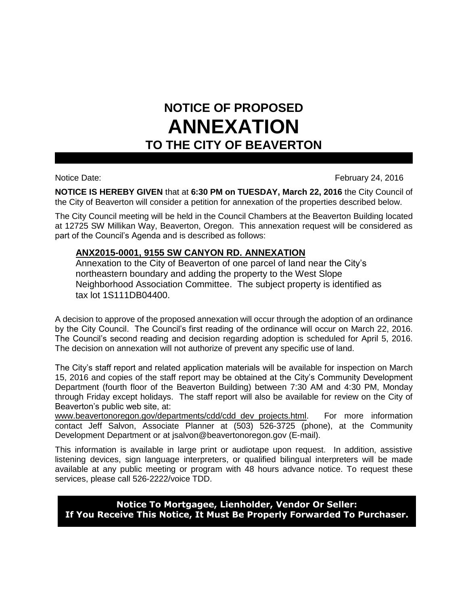## **NOTICE OF PROPOSED ANNEXATION TO THE CITY OF BEAVERTON**

Notice Date: February 24, 2016

**NOTICE IS HEREBY GIVEN** that at **6:30 PM on TUESDAY, March 22, 2016** the City Council of the City of Beaverton will consider a petition for annexation of the properties described below.

The City Council meeting will be held in the Council Chambers at the Beaverton Building located at 12725 SW Millikan Way, Beaverton, Oregon. This annexation request will be considered as part of the Council's Agenda and is described as follows:

## **ANX2015-0001, 9155 SW CANYON RD. ANNEXATION**

Annexation to the City of Beaverton of one parcel of land near the City's northeastern boundary and adding the property to the West Slope Neighborhood Association Committee. The subject property is identified as tax lot 1S111DB04400.

A decision to approve of the proposed annexation will occur through the adoption of an ordinance by the City Council. The Council's first reading of the ordinance will occur on March 22, 2016. The Council's second reading and decision regarding adoption is scheduled for April 5, 2016. The decision on annexation will not authorize of prevent any specific use of land.

The City's staff report and related application materials will be available for inspection on March 15, 2016 and copies of the staff report may be obtained at the City's Community Development Department (fourth floor of the Beaverton Building) between 7:30 AM and 4:30 PM, Monday through Friday except holidays. The staff report will also be available for review on the City of Beaverton's public web site, at:

www.beavertonoregon.gov/departments/cdd/cdd\_dev\_projects.html. For more information contact Jeff Salvon, Associate Planner at (503) 526-3725 (phone), at the Community Development Department or at jsalvon@beavertonoregon.gov (E-mail).

This information is available in large print or audiotape upon request. In addition, assistive listening devices, sign language interpreters, or qualified bilingual interpreters will be made available at any public meeting or program with 48 hours advance notice. To request these services, please call 526-2222/voice TDD.

**Notice To Mortgagee, Lienholder, Vendor Or Seller: If You Receive This Notice, It Must Be Properly Forwarded To Purchaser.**